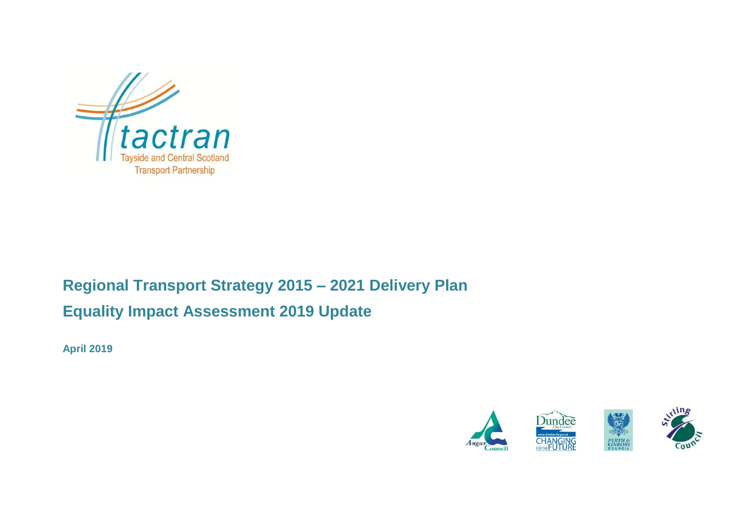

# **Regional Transport Strategy 2015 – 2021 Delivery Plan Equality Impact Assessment 2019 Update**

**April 2019**

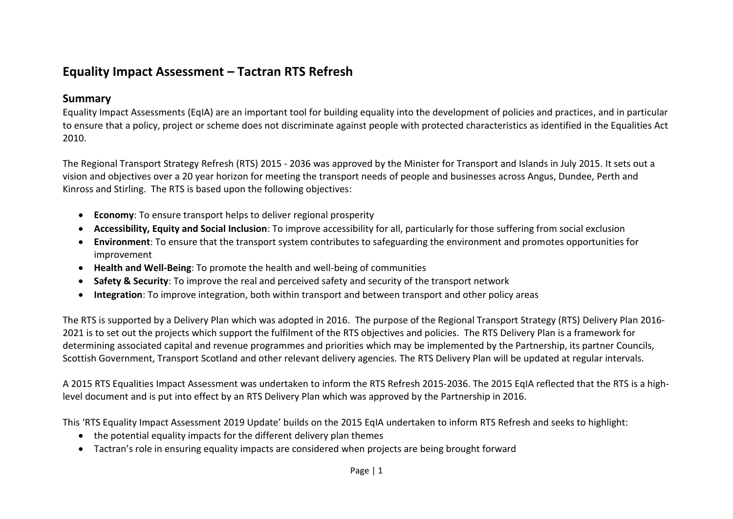# **Equality Impact Assessment – Tactran RTS Refresh**

#### **Summary**

Equality Impact Assessments (EqIA) are an important tool for building equality into the development of policies and practices, and in particular to ensure that a policy, project or scheme does not discriminate against people with protected characteristics as identified in the Equalities Act 2010.

The Regional Transport Strategy Refresh (RTS) 2015 - 2036 was approved by the Minister for Transport and Islands in July 2015. It sets out a vision and objectives over a 20 year horizon for meeting the transport needs of people and businesses across Angus, Dundee, Perth and Kinross and Stirling. The RTS is based upon the following objectives:

- **Economy**: To ensure transport helps to deliver regional prosperity
- **Accessibility, Equity and Social Inclusion**: To improve accessibility for all, particularly for those suffering from social exclusion
- **Environment**: To ensure that the transport system contributes to safeguarding the environment and promotes opportunities for improvement
- **Health and Well-Being**: To promote the health and well-being of communities
- **Safety & Security**: To improve the real and perceived safety and security of the transport network
- **Integration**: To improve integration, both within transport and between transport and other policy areas

The RTS is supported by a Delivery Plan which was adopted in 2016. The purpose of the Regional Transport Strategy (RTS) Delivery Plan 2016- 2021 is to set out the projects which support the fulfilment of the RTS objectives and policies. The RTS Delivery Plan is a framework for determining associated capital and revenue programmes and priorities which may be implemented by the Partnership, its partner Councils, Scottish Government, Transport Scotland and other relevant delivery agencies. The RTS Delivery Plan will be updated at regular intervals.

A 2015 RTS Equalities Impact Assessment was undertaken to inform the RTS Refresh 2015-2036. The 2015 EqIA reflected that the RTS is a highlevel document and is put into effect by an RTS Delivery Plan which was approved by the Partnership in 2016.

This 'RTS Equality Impact Assessment 2019 Update' builds on the 2015 EqIA undertaken to inform RTS Refresh and seeks to highlight:

- the potential equality impacts for the different delivery plan themes
- Tactran's role in ensuring equality impacts are considered when projects are being brought forward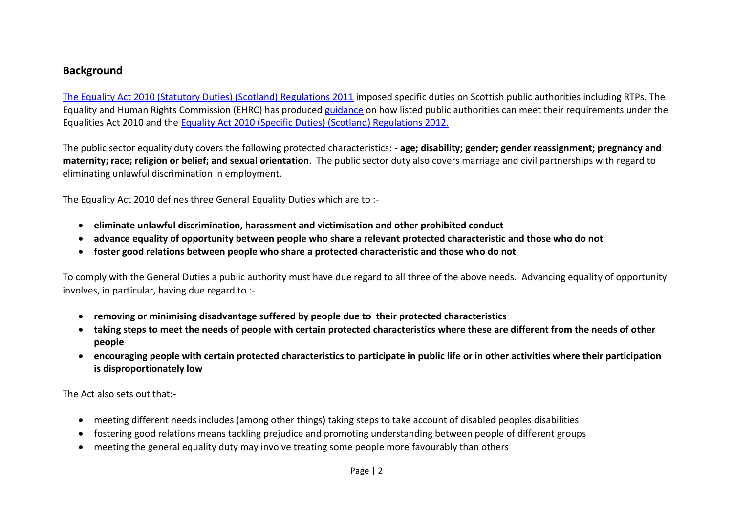#### **Background**

[The Equality Act 2010 \(Statutory Duties\) \(Scotland\) Regulations 2011](https://www.legislation.gov.uk/sdsi/2011/9780111012215) imposed specific duties on Scottish public authorities including RTPs. The Equality and Human Rights Commission (EHRC) has produced [guidance](https://www.equalityhumanrights.com/en/advice-and-guidance/guidance-scottish-public-authorities) on how listed public authorities can meet their requirements under the Equalities Act 2010 and the Equality [Act 2010 \(Specific Duties\) \(Scotland\) Regulations 2012.](http://www.legislation.gov.uk/ssi/2012/162/made)

The public sector equality duty covers the following protected characteristics: - **age; disability; gender; gender reassignment; pregnancy and maternity; race; religion or belief; and sexual orientation**. The public sector duty also covers marriage and civil partnerships with regard to eliminating unlawful discrimination in employment.

The Equality Act 2010 defines three General Equality Duties which are to :-

- **eliminate unlawful discrimination, harassment and victimisation and other prohibited conduct**
- **advance equality of opportunity between people who share a relevant protected characteristic and those who do not**
- **foster good relations between people who share a protected characteristic and those who do not**

To comply with the General Duties a public authority must have due regard to all three of the above needs. Advancing equality of opportunity involves, in particular, having due regard to :-

- **removing or minimising disadvantage suffered by people due to their protected characteristics**
- **taking steps to meet the needs of people with certain protected characteristics where these are different from the needs of other people**
- **encouraging people with certain protected characteristics to participate in public life or in other activities where their participation is disproportionately low**

The Act also sets out that:-

- meeting different needs includes (among other things) taking steps to take account of disabled peoples disabilities
- fostering good relations means tackling prejudice and promoting understanding between people of different groups
- meeting the general equality duty may involve treating some people more favourably than others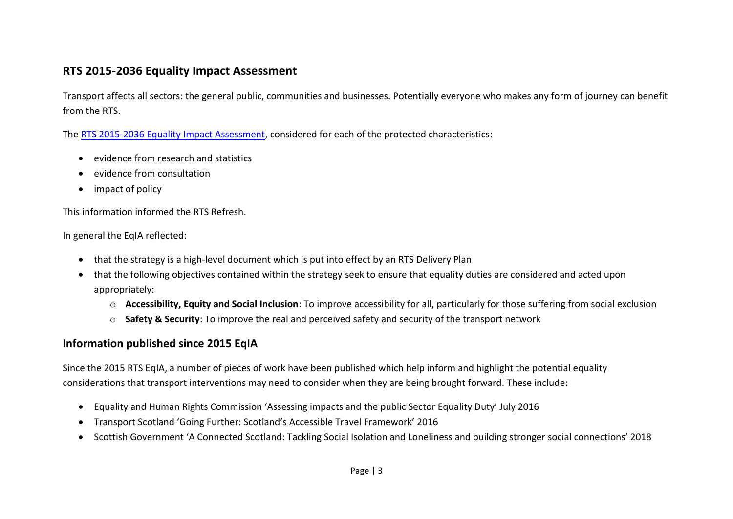## **RTS 2015-2036 Equality Impact Assessment**

Transport affects all sectors: the general public, communities and businesses. Potentially everyone who makes any form of journey can benefit from the RTS.

The [RTS 2015-2036 Equality Impact Assessment,](https://www.tactran.gov.uk/strategy.php) considered for each of the protected characteristics:

- evidence from research and statistics
- evidence from consultation
- impact of policy

This information informed the RTS Refresh.

In general the EqIA reflected:

- that the strategy is a high-level document which is put into effect by an RTS Delivery Plan
- that the following objectives contained within the strategy seek to ensure that equality duties are considered and acted upon appropriately:
	- o **Accessibility, Equity and Social Inclusion**: To improve accessibility for all, particularly for those suffering from social exclusion
	- o **Safety & Security**: To improve the real and perceived safety and security of the transport network

# **Information published since 2015 EqIA**

Since the 2015 RTS EqIA, a number of pieces of work have been published which help inform and highlight the potential equality considerations that transport interventions may need to consider when they are being brought forward. These include:

- Equality and Human Rights Commission 'Assessing impacts and the public Sector Equality Duty' July 2016
- Transport Scotland 'Going Further: Scotland's Accessible Travel Framework' 2016
- Scottish Government 'A Connected Scotland: Tackling Social Isolation and Loneliness and building stronger social connections' 2018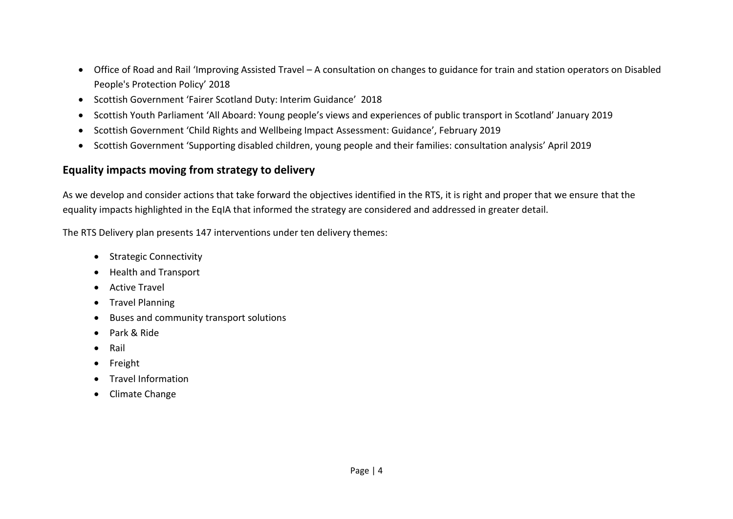- Office of Road and Rail 'Improving Assisted Travel A consultation on changes to guidance for train and station operators on Disabled People's Protection Policy' 2018
- Scottish Government 'Fairer Scotland Duty: Interim Guidance' 2018
- Scottish Youth Parliament 'All Aboard: Young people's views and experiences of public transport in Scotland' January 2019
- Scottish Government 'Child Rights and Wellbeing Impact Assessment: Guidance', February 2019
- Scottish Government 'Supporting disabled children, young people and their families: consultation analysis' April 2019

### **Equality impacts moving from strategy to delivery**

As we develop and consider actions that take forward the objectives identified in the RTS, it is right and proper that we ensure that the equality impacts highlighted in the EqIA that informed the strategy are considered and addressed in greater detail.

The RTS Delivery plan presents 147 interventions under ten delivery themes:

- Strategic Connectivity
- Health and Transport
- Active Travel
- **•** Travel Planning
- Buses and community transport solutions
- Park & Ride
- Rail
- Freight
- **•** Travel Information
- Climate Change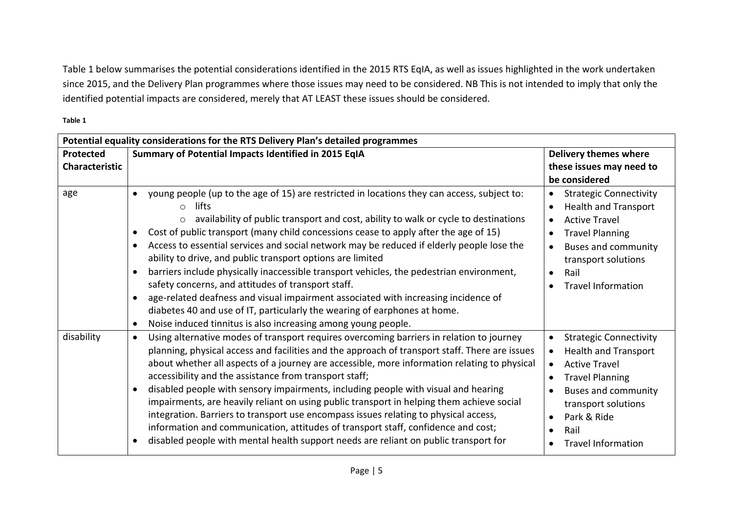Table 1 below summarises the potential considerations identified in the 2015 RTS EqIA, as well as issues highlighted in the work undertaken since 2015, and the Delivery Plan programmes where those issues may need to be considered. NB This is not intended to imply that only the identified potential impacts are considered, merely that AT LEAST these issues should be considered.

**Table 1**

|                             | Potential equality considerations for the RTS Delivery Plan's detailed programmes                                                                                                                                                                                                                                                                                                                                                                                                                                                                                                                                                                                                                                                                                                                                                                                                                                                  |                                                                                                                                                                                                                                                                                                                                 |  |  |  |  |
|-----------------------------|------------------------------------------------------------------------------------------------------------------------------------------------------------------------------------------------------------------------------------------------------------------------------------------------------------------------------------------------------------------------------------------------------------------------------------------------------------------------------------------------------------------------------------------------------------------------------------------------------------------------------------------------------------------------------------------------------------------------------------------------------------------------------------------------------------------------------------------------------------------------------------------------------------------------------------|---------------------------------------------------------------------------------------------------------------------------------------------------------------------------------------------------------------------------------------------------------------------------------------------------------------------------------|--|--|--|--|
| Protected<br>Characteristic | Summary of Potential Impacts Identified in 2015 EqIA                                                                                                                                                                                                                                                                                                                                                                                                                                                                                                                                                                                                                                                                                                                                                                                                                                                                               | <b>Delivery themes where</b><br>these issues may need to<br>be considered                                                                                                                                                                                                                                                       |  |  |  |  |
| age                         | young people (up to the age of 15) are restricted in locations they can access, subject to:<br>$\bullet$<br>lifts<br>$\bigcap$<br>availability of public transport and cost, ability to walk or cycle to destinations<br>$\circ$<br>Cost of public transport (many child concessions cease to apply after the age of 15)<br>٠<br>Access to essential services and social network may be reduced if elderly people lose the<br>$\bullet$<br>ability to drive, and public transport options are limited<br>barriers include physically inaccessible transport vehicles, the pedestrian environment,<br>$\bullet$<br>safety concerns, and attitudes of transport staff.<br>age-related deafness and visual impairment associated with increasing incidence of<br>$\bullet$<br>diabetes 40 and use of IT, particularly the wearing of earphones at home.<br>Noise induced tinnitus is also increasing among young people.<br>$\bullet$ | <b>Strategic Connectivity</b><br>$\bullet$<br><b>Health and Transport</b><br>$\bullet$<br><b>Active Travel</b><br>$\bullet$<br><b>Travel Planning</b><br>$\bullet$<br><b>Buses and community</b><br>$\bullet$<br>transport solutions<br>Rail<br>$\bullet$<br><b>Travel Information</b><br>$\bullet$                             |  |  |  |  |
| disability                  | Using alternative modes of transport requires overcoming barriers in relation to journey<br>$\bullet$<br>planning, physical access and facilities and the approach of transport staff. There are issues<br>about whether all aspects of a journey are accessible, more information relating to physical<br>accessibility and the assistance from transport staff;<br>disabled people with sensory impairments, including people with visual and hearing<br>$\bullet$<br>impairments, are heavily reliant on using public transport in helping them achieve social<br>integration. Barriers to transport use encompass issues relating to physical access,<br>information and communication, attitudes of transport staff, confidence and cost;<br>disabled people with mental health support needs are reliant on public transport for<br>$\bullet$                                                                                | <b>Strategic Connectivity</b><br>$\bullet$<br><b>Health and Transport</b><br>$\bullet$<br><b>Active Travel</b><br>$\bullet$<br><b>Travel Planning</b><br>$\bullet$<br><b>Buses and community</b><br>$\bullet$<br>transport solutions<br>Park & Ride<br>$\bullet$<br>Rail<br>$\bullet$<br><b>Travel Information</b><br>$\bullet$ |  |  |  |  |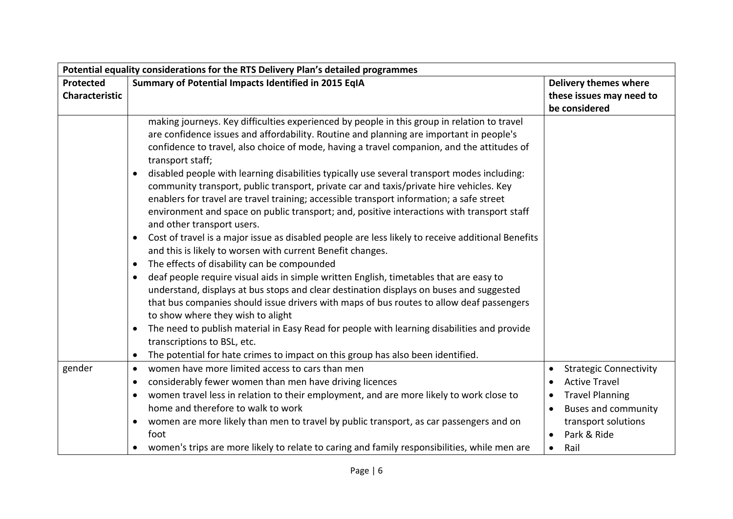| Potential equality considerations for the RTS Delivery Plan's detailed programmes |                                                                                                                                                                                                                                                                                                                                                                                                                                                                                                                                                                                                                                                                                                                                                                                                                                                                                                                                                                                                                                                                                                                                                                                                                                                                                                                                                                                                                                                                                                                                                                   |                                                                                                                                                                          |  |  |
|-----------------------------------------------------------------------------------|-------------------------------------------------------------------------------------------------------------------------------------------------------------------------------------------------------------------------------------------------------------------------------------------------------------------------------------------------------------------------------------------------------------------------------------------------------------------------------------------------------------------------------------------------------------------------------------------------------------------------------------------------------------------------------------------------------------------------------------------------------------------------------------------------------------------------------------------------------------------------------------------------------------------------------------------------------------------------------------------------------------------------------------------------------------------------------------------------------------------------------------------------------------------------------------------------------------------------------------------------------------------------------------------------------------------------------------------------------------------------------------------------------------------------------------------------------------------------------------------------------------------------------------------------------------------|--------------------------------------------------------------------------------------------------------------------------------------------------------------------------|--|--|
| Protected<br><b>Characteristic</b>                                                | Summary of Potential Impacts Identified in 2015 EqIA                                                                                                                                                                                                                                                                                                                                                                                                                                                                                                                                                                                                                                                                                                                                                                                                                                                                                                                                                                                                                                                                                                                                                                                                                                                                                                                                                                                                                                                                                                              | <b>Delivery themes where</b><br>these issues may need to<br>be considered                                                                                                |  |  |
|                                                                                   | making journeys. Key difficulties experienced by people in this group in relation to travel<br>are confidence issues and affordability. Routine and planning are important in people's<br>confidence to travel, also choice of mode, having a travel companion, and the attitudes of<br>transport staff;<br>disabled people with learning disabilities typically use several transport modes including:<br>$\bullet$<br>community transport, public transport, private car and taxis/private hire vehicles. Key<br>enablers for travel are travel training; accessible transport information; a safe street<br>environment and space on public transport; and, positive interactions with transport staff<br>and other transport users.<br>Cost of travel is a major issue as disabled people are less likely to receive additional Benefits<br>$\bullet$<br>and this is likely to worsen with current Benefit changes.<br>The effects of disability can be compounded<br>$\bullet$<br>deaf people require visual aids in simple written English, timetables that are easy to<br>$\bullet$<br>understand, displays at bus stops and clear destination displays on buses and suggested<br>that bus companies should issue drivers with maps of bus routes to allow deaf passengers<br>to show where they wish to alight<br>The need to publish material in Easy Read for people with learning disabilities and provide<br>$\bullet$<br>transcriptions to BSL, etc.<br>The potential for hate crimes to impact on this group has also been identified.<br>$\bullet$ |                                                                                                                                                                          |  |  |
| gender                                                                            | women have more limited access to cars than men<br>$\bullet$<br>considerably fewer women than men have driving licences<br>$\bullet$<br>women travel less in relation to their employment, and are more likely to work close to<br>$\bullet$<br>home and therefore to walk to work<br>women are more likely than men to travel by public transport, as car passengers and on<br>$\bullet$<br>foot<br>women's trips are more likely to relate to caring and family responsibilities, while men are                                                                                                                                                                                                                                                                                                                                                                                                                                                                                                                                                                                                                                                                                                                                                                                                                                                                                                                                                                                                                                                                 | <b>Strategic Connectivity</b><br><b>Active Travel</b><br><b>Travel Planning</b><br><b>Buses and community</b><br>transport solutions<br>Park & Ride<br>Rail<br>$\bullet$ |  |  |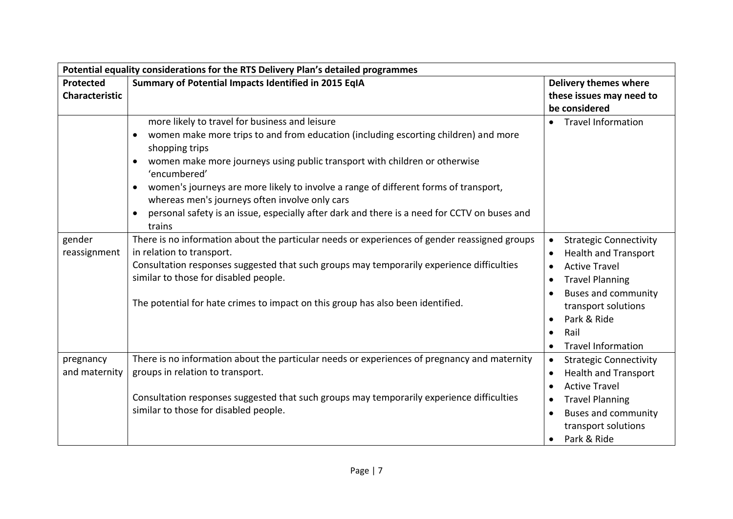| Potential equality considerations for the RTS Delivery Plan's detailed programmes |                                                                                                                                                                                                                                                                                                                                                                                                                                                                                                                                                     |                                                                                                                                                                                                                                                                             |  |  |  |
|-----------------------------------------------------------------------------------|-----------------------------------------------------------------------------------------------------------------------------------------------------------------------------------------------------------------------------------------------------------------------------------------------------------------------------------------------------------------------------------------------------------------------------------------------------------------------------------------------------------------------------------------------------|-----------------------------------------------------------------------------------------------------------------------------------------------------------------------------------------------------------------------------------------------------------------------------|--|--|--|
| Protected                                                                         | Summary of Potential Impacts Identified in 2015 EqIA                                                                                                                                                                                                                                                                                                                                                                                                                                                                                                | <b>Delivery themes where</b>                                                                                                                                                                                                                                                |  |  |  |
| <b>Characteristic</b>                                                             |                                                                                                                                                                                                                                                                                                                                                                                                                                                                                                                                                     | these issues may need to                                                                                                                                                                                                                                                    |  |  |  |
|                                                                                   |                                                                                                                                                                                                                                                                                                                                                                                                                                                                                                                                                     | be considered                                                                                                                                                                                                                                                               |  |  |  |
|                                                                                   | more likely to travel for business and leisure<br>women make more trips to and from education (including escorting children) and more<br>$\bullet$<br>shopping trips<br>women make more journeys using public transport with children or otherwise<br>$\bullet$<br>'encumbered'<br>women's journeys are more likely to involve a range of different forms of transport,<br>$\bullet$<br>whereas men's journeys often involve only cars<br>personal safety is an issue, especially after dark and there is a need for CCTV on buses and<br>$\bullet$ | <b>Travel Information</b><br>$\bullet$                                                                                                                                                                                                                                      |  |  |  |
| gender<br>reassignment                                                            | trains<br>There is no information about the particular needs or experiences of gender reassigned groups<br>in relation to transport.<br>Consultation responses suggested that such groups may temporarily experience difficulties<br>similar to those for disabled people.<br>The potential for hate crimes to impact on this group has also been identified.                                                                                                                                                                                       | <b>Strategic Connectivity</b><br><b>Health and Transport</b><br><b>Active Travel</b><br>$\bullet$<br><b>Travel Planning</b><br>$\bullet$<br><b>Buses and community</b><br>transport solutions<br>Park & Ride<br>Rail<br>$\bullet$<br><b>Travel Information</b><br>$\bullet$ |  |  |  |
| pregnancy<br>and maternity                                                        | There is no information about the particular needs or experiences of pregnancy and maternity<br>groups in relation to transport.<br>Consultation responses suggested that such groups may temporarily experience difficulties<br>similar to those for disabled people.                                                                                                                                                                                                                                                                              | <b>Strategic Connectivity</b><br>$\bullet$<br><b>Health and Transport</b><br><b>Active Travel</b><br>$\bullet$<br><b>Travel Planning</b><br>$\bullet$<br><b>Buses and community</b><br>$\bullet$<br>transport solutions<br>Park & Ride<br>$\bullet$                         |  |  |  |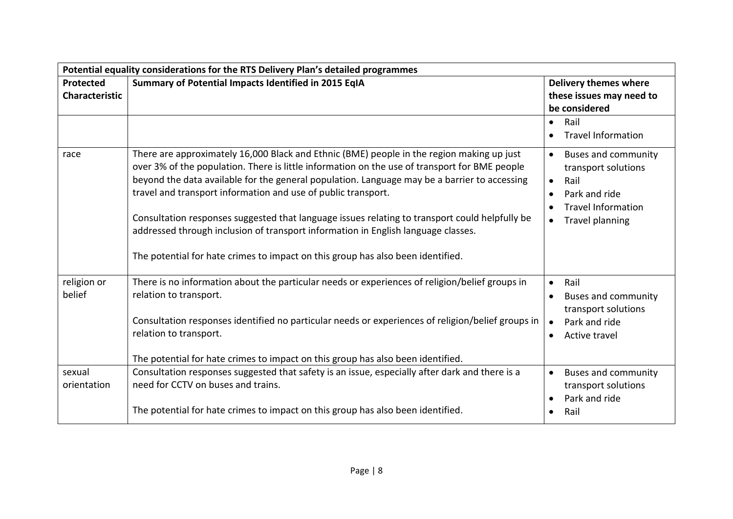|                                    | Potential equality considerations for the RTS Delivery Plan's detailed programmes                                                                                                                                                                                                                                                                                                                                                                                                                                                                                                                                                     |                                                                                                                                                                                       |  |
|------------------------------------|---------------------------------------------------------------------------------------------------------------------------------------------------------------------------------------------------------------------------------------------------------------------------------------------------------------------------------------------------------------------------------------------------------------------------------------------------------------------------------------------------------------------------------------------------------------------------------------------------------------------------------------|---------------------------------------------------------------------------------------------------------------------------------------------------------------------------------------|--|
| Protected<br><b>Characteristic</b> | Summary of Potential Impacts Identified in 2015 EqIA                                                                                                                                                                                                                                                                                                                                                                                                                                                                                                                                                                                  | <b>Delivery themes where</b><br>these issues may need to<br>be considered                                                                                                             |  |
|                                    |                                                                                                                                                                                                                                                                                                                                                                                                                                                                                                                                                                                                                                       | Rail<br>$\bullet$<br><b>Travel Information</b>                                                                                                                                        |  |
| race                               | There are approximately 16,000 Black and Ethnic (BME) people in the region making up just<br>over 3% of the population. There is little information on the use of transport for BME people<br>beyond the data available for the general population. Language may be a barrier to accessing<br>travel and transport information and use of public transport.<br>Consultation responses suggested that language issues relating to transport could helpfully be<br>addressed through inclusion of transport information in English language classes.<br>The potential for hate crimes to impact on this group has also been identified. | <b>Buses and community</b><br>$\bullet$<br>transport solutions<br>Rail<br>$\bullet$<br>Park and ride<br>$\bullet$<br><b>Travel Information</b><br><b>Travel planning</b><br>$\bullet$ |  |
| religion or<br>belief              | There is no information about the particular needs or experiences of religion/belief groups in<br>relation to transport.<br>Consultation responses identified no particular needs or experiences of religion/belief groups in<br>relation to transport.<br>The potential for hate crimes to impact on this group has also been identified.                                                                                                                                                                                                                                                                                            | Rail<br>$\bullet$<br><b>Buses and community</b><br>$\bullet$<br>transport solutions<br>Park and ride<br>$\bullet$<br>Active travel<br>$\bullet$                                       |  |
| sexual<br>orientation              | Consultation responses suggested that safety is an issue, especially after dark and there is a<br>need for CCTV on buses and trains.<br>The potential for hate crimes to impact on this group has also been identified.                                                                                                                                                                                                                                                                                                                                                                                                               | <b>Buses and community</b><br>$\bullet$<br>transport solutions<br>Park and ride<br>Rail<br>$\bullet$                                                                                  |  |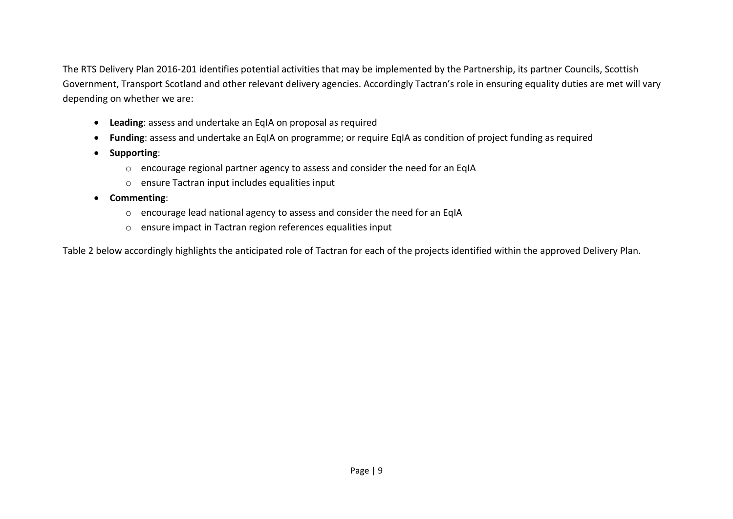The RTS Delivery Plan 2016-201 identifies potential activities that may be implemented by the Partnership, its partner Councils, Scottish Government, Transport Scotland and other relevant delivery agencies. Accordingly Tactran's role in ensuring equality duties are met will vary depending on whether we are:

- **Leading**: assess and undertake an EqIA on proposal as required
- **Funding**: assess and undertake an EqIA on programme; or require EqIA as condition of project funding as required
- **•** Supporting:
	- o encourage regional partner agency to assess and consider the need for an EqIA
	- o ensure Tactran input includes equalities input
- **Commenting**:
	- o encourage lead national agency to assess and consider the need for an EqIA
	- o ensure impact in Tactran region references equalities input

Table 2 below accordingly highlights the anticipated role of Tactran for each of the projects identified within the approved Delivery Plan.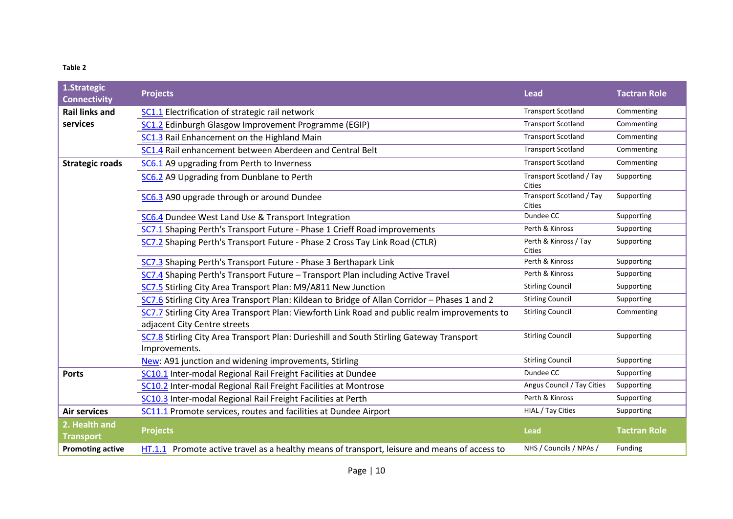#### **Table 2**

| 1.Strategic<br><b>Connectivity</b> | <b>Projects</b>                                                                                                                                     | <b>Lead</b>                               | <b>Tactran Role</b> |
|------------------------------------|-----------------------------------------------------------------------------------------------------------------------------------------------------|-------------------------------------------|---------------------|
| <b>Rail links and</b>              | SC1.1 Electrification of strategic rail network                                                                                                     | <b>Transport Scotland</b>                 | Commenting          |
| services                           | SC1.2 Edinburgh Glasgow Improvement Programme (EGIP)                                                                                                | <b>Transport Scotland</b>                 | Commenting          |
|                                    | SC1.3 Rail Enhancement on the Highland Main                                                                                                         | <b>Transport Scotland</b>                 | Commenting          |
|                                    | SC1.4 Rail enhancement between Aberdeen and Central Belt                                                                                            | <b>Transport Scotland</b>                 | Commenting          |
| <b>Strategic roads</b>             | SC6.1 A9 upgrading from Perth to Inverness                                                                                                          | <b>Transport Scotland</b>                 | Commenting          |
|                                    | SC6.2 A9 Upgrading from Dunblane to Perth                                                                                                           | Transport Scotland / Tay<br><b>Cities</b> | Supporting          |
|                                    | SC6.3 A90 upgrade through or around Dundee                                                                                                          | Transport Scotland / Tay<br><b>Cities</b> | Supporting          |
|                                    | SC6.4 Dundee West Land Use & Transport Integration                                                                                                  | Dundee CC                                 | Supporting          |
|                                    | SC7.1 Shaping Perth's Transport Future - Phase 1 Crieff Road improvements                                                                           | Perth & Kinross                           | Supporting          |
|                                    | SC7.2 Shaping Perth's Transport Future - Phase 2 Cross Tay Link Road (CTLR)                                                                         | Perth & Kinross / Tay<br>Cities           | Supporting          |
|                                    | SC7.3 Shaping Perth's Transport Future - Phase 3 Berthapark Link<br>SC7.4 Shaping Perth's Transport Future - Transport Plan including Active Travel |                                           | Supporting          |
|                                    |                                                                                                                                                     |                                           | Supporting          |
|                                    | SC7.5 Stirling City Area Transport Plan: M9/A811 New Junction                                                                                       | <b>Stirling Council</b>                   | Supporting          |
|                                    | SC7.6 Stirling City Area Transport Plan: Kildean to Bridge of Allan Corridor - Phases 1 and 2                                                       | <b>Stirling Council</b>                   | Supporting          |
|                                    | SC7.7 Stirling City Area Transport Plan: Viewforth Link Road and public realm improvements to                                                       | <b>Stirling Council</b>                   | Commenting          |
|                                    | adjacent City Centre streets                                                                                                                        |                                           |                     |
|                                    | SC7.8 Stirling City Area Transport Plan: Durieshill and South Stirling Gateway Transport<br>Improvements.                                           | <b>Stirling Council</b>                   | Supporting          |
|                                    | New: A91 junction and widening improvements, Stirling                                                                                               | <b>Stirling Council</b>                   | Supporting          |
| <b>Ports</b>                       | SC10.1 Inter-modal Regional Rail Freight Facilities at Dundee                                                                                       | Dundee CC                                 | Supporting          |
|                                    | SC10.2 Inter-modal Regional Rail Freight Facilities at Montrose                                                                                     | Angus Council / Tay Cities                | Supporting          |
|                                    | SC10.3 Inter-modal Regional Rail Freight Facilities at Perth                                                                                        | Perth & Kinross                           | Supporting          |
| <b>Air services</b>                | SC11.1 Promote services, routes and facilities at Dundee Airport                                                                                    | HIAL / Tay Cities                         | Supporting          |
| 2. Health and<br><b>Transport</b>  | <b>Projects</b>                                                                                                                                     | <b>Lead</b>                               | <b>Tactran Role</b> |
| <b>Promoting active</b>            | HT.1.1 Promote active travel as a healthy means of transport, leisure and means of access to                                                        | NHS / Councils / NPAs /                   | Funding             |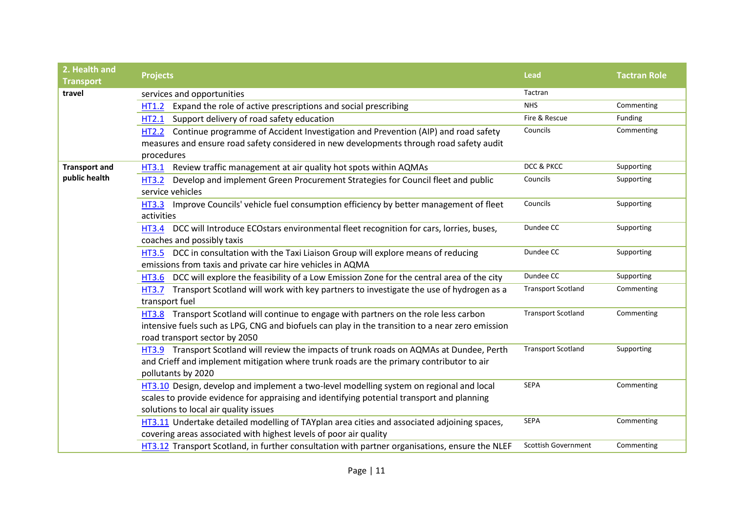| 2. Health and<br><b>Transport</b> | <b>Projects</b>                                                                                          | Lead                       | <b>Tactran Role</b> |
|-----------------------------------|----------------------------------------------------------------------------------------------------------|----------------------------|---------------------|
| travel                            | services and opportunities                                                                               | Tactran                    |                     |
|                                   | Expand the role of active prescriptions and social prescribing<br>HT1.2                                  | <b>NHS</b>                 | Commenting          |
|                                   | Support delivery of road safety education<br>HT2.1                                                       | Fire & Rescue              | Funding             |
|                                   | HT2.2 Continue programme of Accident Investigation and Prevention (AIP) and road safety                  | Councils                   | Commenting          |
|                                   | measures and ensure road safety considered in new developments through road safety audit                 |                            |                     |
|                                   | procedures                                                                                               |                            |                     |
| <b>Transport and</b>              | Review traffic management at air quality hot spots within AQMAs<br><b>HT3.1</b>                          | DCC & PKCC                 | Supporting          |
| public health                     | Develop and implement Green Procurement Strategies for Council fleet and public<br><b>HT3.2</b>          | Councils                   | Supporting          |
|                                   | service vehicles                                                                                         |                            |                     |
|                                   | Improve Councils' vehicle fuel consumption efficiency by better management of fleet<br><b>HT3.3</b>      | Councils                   | Supporting          |
|                                   | activities                                                                                               |                            |                     |
|                                   | DCC will Introduce ECOstars environmental fleet recognition for cars, lorries, buses,<br><b>HT3.4</b>    | Dundee CC                  | Supporting          |
|                                   | coaches and possibly taxis                                                                               |                            |                     |
|                                   | HT3.5 DCC in consultation with the Taxi Liaison Group will explore means of reducing                     | Dundee CC                  | Supporting          |
|                                   | emissions from taxis and private car hire vehicles in AQMA                                               |                            |                     |
|                                   | DCC will explore the feasibility of a Low Emission Zone for the central area of the city<br><b>HT3.6</b> | Dundee CC                  | Supporting          |
|                                   | HT3.7 Transport Scotland will work with key partners to investigate the use of hydrogen as a             | <b>Transport Scotland</b>  | Commenting          |
|                                   | transport fuel                                                                                           |                            |                     |
|                                   | HT3.8 Transport Scotland will continue to engage with partners on the role less carbon                   | <b>Transport Scotland</b>  | Commenting          |
|                                   | intensive fuels such as LPG, CNG and biofuels can play in the transition to a near zero emission         |                            |                     |
|                                   | road transport sector by 2050                                                                            |                            |                     |
|                                   | HT3.9 Transport Scotland will review the impacts of trunk roads on AQMAs at Dundee, Perth                | <b>Transport Scotland</b>  | Supporting          |
|                                   | and Crieff and implement mitigation where trunk roads are the primary contributor to air                 |                            |                     |
|                                   | pollutants by 2020                                                                                       |                            |                     |
|                                   | HT3.10 Design, develop and implement a two-level modelling system on regional and local                  | <b>SEPA</b>                | Commenting          |
|                                   | scales to provide evidence for appraising and identifying potential transport and planning               |                            |                     |
|                                   | solutions to local air quality issues                                                                    | SEPA                       |                     |
|                                   | HT3.11 Undertake detailed modelling of TAYplan area cities and associated adjoining spaces,              |                            | Commenting          |
|                                   | covering areas associated with highest levels of poor air quality                                        |                            |                     |
|                                   | HT3.12 Transport Scotland, in further consultation with partner organisations, ensure the NLEF           | <b>Scottish Government</b> | Commenting          |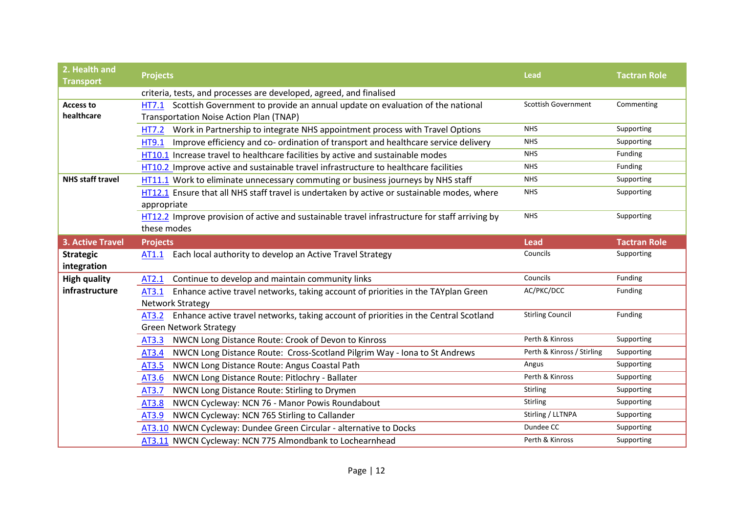| 2. Health and<br><b>Transport</b> | <b>Projects</b>                                                                                                                       | <b>Lead</b>                | <b>Tactran Role</b> |
|-----------------------------------|---------------------------------------------------------------------------------------------------------------------------------------|----------------------------|---------------------|
|                                   | criteria, tests, and processes are developed, agreed, and finalised                                                                   |                            |                     |
| <b>Access to</b><br>healthcare    | HT7.1 Scottish Government to provide an annual update on evaluation of the national<br><b>Transportation Noise Action Plan (TNAP)</b> | <b>Scottish Government</b> | Commenting          |
|                                   | Work in Partnership to integrate NHS appointment process with Travel Options<br><b>HT7.2</b>                                          | <b>NHS</b>                 | Supporting          |
|                                   | Improve efficiency and co- ordination of transport and healthcare service delivery<br><b>HT9.1</b>                                    | <b>NHS</b>                 | Supporting          |
|                                   | HT10.1 Increase travel to healthcare facilities by active and sustainable modes                                                       | <b>NHS</b>                 | Funding             |
|                                   | HT10.2 Improve active and sustainable travel infrastructure to healthcare facilities                                                  | <b>NHS</b>                 | Funding             |
| <b>NHS staff travel</b>           | HT11.1 Work to eliminate unnecessary commuting or business journeys by NHS staff                                                      | <b>NHS</b>                 | Supporting          |
|                                   | HT12.1 Ensure that all NHS staff travel is undertaken by active or sustainable modes, where<br>appropriate                            | <b>NHS</b>                 | Supporting          |
|                                   | HT12.2 Improve provision of active and sustainable travel infrastructure for staff arriving by<br>these modes                         | <b>NHS</b>                 | Supporting          |
| <b>3. Active Travel</b>           | <b>Projects</b>                                                                                                                       | <b>Lead</b>                | <b>Tactran Role</b> |
| <b>Strategic</b>                  | Each local authority to develop an Active Travel Strategy<br>AT1.1                                                                    | Councils                   | Supporting          |
| integration                       |                                                                                                                                       |                            |                     |
| <b>High quality</b>               | Continue to develop and maintain community links<br>AT2.1                                                                             | Councils                   | Funding             |
| infrastructure                    | Enhance active travel networks, taking account of priorities in the TAYplan Green<br>AT3.1                                            | AC/PKC/DCC                 | Funding             |
|                                   | <b>Network Strategy</b>                                                                                                               |                            |                     |
|                                   | Enhance active travel networks, taking account of priorities in the Central Scotland<br>AT3.2                                         | <b>Stirling Council</b>    | Funding             |
|                                   | <b>Green Network Strategy</b>                                                                                                         |                            |                     |
|                                   | NWCN Long Distance Route: Crook of Devon to Kinross<br>AT3.3                                                                          | Perth & Kinross            | Supporting          |
|                                   | NWCN Long Distance Route: Cross-Scotland Pilgrim Way - Iona to St Andrews<br>AT3.4                                                    | Perth & Kinross / Stirling | Supporting          |
|                                   | NWCN Long Distance Route: Angus Coastal Path<br>AT3.5                                                                                 | Angus                      | Supporting          |
|                                   | NWCN Long Distance Route: Pitlochry - Ballater<br>AT3.6                                                                               | Perth & Kinross            | Supporting          |
|                                   | NWCN Long Distance Route: Stirling to Drymen<br>AT3.7                                                                                 | <b>Stirling</b>            | Supporting          |
|                                   | NWCN Cycleway: NCN 76 - Manor Powis Roundabout<br>AT3.8                                                                               | Stirling                   | Supporting          |
|                                   | NWCN Cycleway: NCN 765 Stirling to Callander<br>AT3.9                                                                                 | Stirling / LLTNPA          | Supporting          |
|                                   | AT3.10 NWCN Cycleway: Dundee Green Circular - alternative to Docks                                                                    | Dundee CC                  | Supporting          |
|                                   | AT3.11 NWCN Cycleway: NCN 775 Almondbank to Lochearnhead                                                                              | Perth & Kinross            | Supporting          |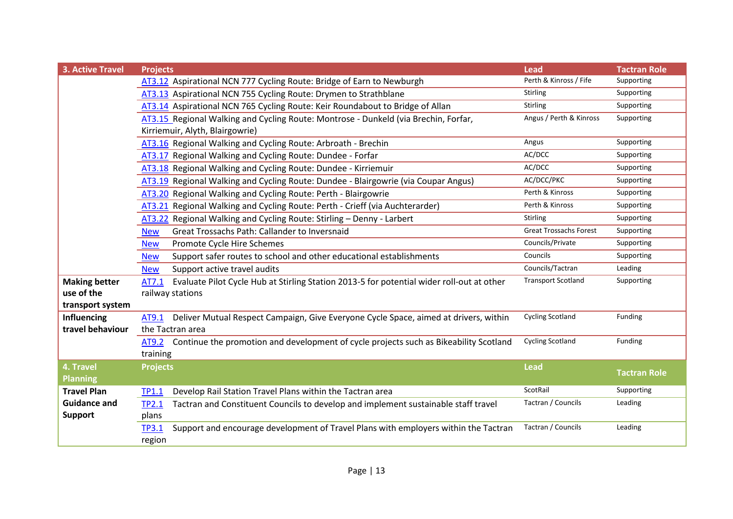| <b>3. Active Travel</b> | <b>Projects</b>                                                                                     | <b>Lead</b>                   | <b>Tactran Role</b> |
|-------------------------|-----------------------------------------------------------------------------------------------------|-------------------------------|---------------------|
|                         | AT3.12 Aspirational NCN 777 Cycling Route: Bridge of Earn to Newburgh                               | Perth & Kinross / Fife        | Supporting          |
|                         | AT3.13 Aspirational NCN 755 Cycling Route: Drymen to Strathblane                                    | <b>Stirling</b>               | Supporting          |
|                         | AT3.14 Aspirational NCN 765 Cycling Route: Keir Roundabout to Bridge of Allan                       | Stirling                      | Supporting          |
|                         | AT3.15 Regional Walking and Cycling Route: Montrose - Dunkeld (via Brechin, Forfar,                 | Angus / Perth & Kinross       | Supporting          |
|                         | Kirriemuir, Alyth, Blairgowrie)                                                                     |                               |                     |
|                         | AT3.16 Regional Walking and Cycling Route: Arbroath - Brechin                                       | Angus                         | Supporting          |
|                         | AT3.17 Regional Walking and Cycling Route: Dundee - Forfar                                          | AC/DCC                        | Supporting          |
|                         | AT3.18 Regional Walking and Cycling Route: Dundee - Kirriemuir                                      | AC/DCC                        | Supporting          |
|                         | AT3.19 Regional Walking and Cycling Route: Dundee - Blairgowrie (via Coupar Angus)                  | AC/DCC/PKC                    | Supporting          |
|                         | AT3.20 Regional Walking and Cycling Route: Perth - Blairgowrie                                      | Perth & Kinross               | Supporting          |
|                         | AT3.21 Regional Walking and Cycling Route: Perth - Crieff (via Auchterarder)                        | Perth & Kinross               | Supporting          |
|                         | AT3.22 Regional Walking and Cycling Route: Stirling - Denny - Larbert                               | Stirling                      | Supporting          |
|                         | Great Trossachs Path: Callander to Inversnaid<br><b>New</b>                                         | <b>Great Trossachs Forest</b> | Supporting          |
|                         | Promote Cycle Hire Schemes<br><b>New</b>                                                            | Councils/Private              | Supporting          |
|                         | Support safer routes to school and other educational establishments<br><b>New</b>                   | Councils                      | Supporting          |
|                         | Support active travel audits<br><b>New</b>                                                          | Councils/Tactran              | Leading             |
| <b>Making better</b>    | Evaluate Pilot Cycle Hub at Stirling Station 2013-5 for potential wider roll-out at other<br>AT7.1  | <b>Transport Scotland</b>     | Supporting          |
| use of the              | railway stations                                                                                    |                               |                     |
| transport system        |                                                                                                     |                               |                     |
| <b>Influencing</b>      | Deliver Mutual Respect Campaign, Give Everyone Cycle Space, aimed at drivers, within<br>AT9.1       | <b>Cycling Scotland</b>       | Funding             |
| travel behaviour        | the Tactran area                                                                                    |                               |                     |
|                         | AT9.2 Continue the promotion and development of cycle projects such as Bikeability Scotland         | <b>Cycling Scotland</b>       | Funding             |
|                         | training                                                                                            |                               |                     |
| 4. Travel               | <b>Projects</b>                                                                                     | <b>Lead</b>                   | <b>Tactran Role</b> |
| <b>Planning</b>         |                                                                                                     |                               |                     |
| <b>Travel Plan</b>      | Develop Rail Station Travel Plans within the Tactran area<br>TP1.1                                  | ScotRail                      | Supporting          |
| <b>Guidance and</b>     | Tactran and Constituent Councils to develop and implement sustainable staff travel<br><b>TP2.1</b>  | Tactran / Councils            | Leading             |
| <b>Support</b>          | plans                                                                                               |                               |                     |
|                         | Support and encourage development of Travel Plans with employers within the Tactran<br><b>TP3.1</b> | Tactran / Councils            | Leading             |
|                         | region                                                                                              |                               |                     |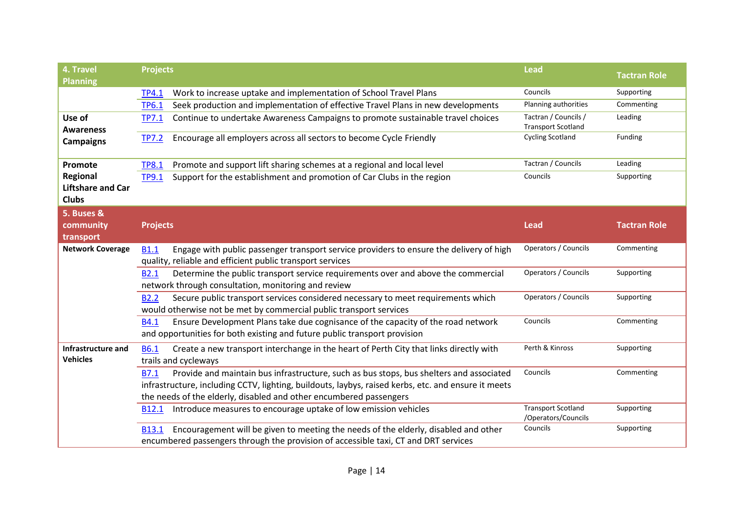| 4. Travel                | <b>Projects</b>                                                                                        | <b>Lead</b>               | <b>Tactran Role</b> |
|--------------------------|--------------------------------------------------------------------------------------------------------|---------------------------|---------------------|
| <b>Planning</b>          |                                                                                                        |                           |                     |
|                          | Work to increase uptake and implementation of School Travel Plans<br><b>TP4.1</b>                      | Councils                  | Supporting          |
|                          | Seek production and implementation of effective Travel Plans in new developments<br><b>TP6.1</b>       | Planning authorities      | Commenting          |
| Use of                   | Continue to undertake Awareness Campaigns to promote sustainable travel choices<br><b>TP7.1</b>        | Tactran / Councils /      | Leading             |
| <b>Awareness</b>         |                                                                                                        | <b>Transport Scotland</b> |                     |
| <b>Campaigns</b>         | Encourage all employers across all sectors to become Cycle Friendly<br><b>TP7.2</b>                    | <b>Cycling Scotland</b>   | Funding             |
|                          |                                                                                                        |                           |                     |
| Promote                  | Promote and support lift sharing schemes at a regional and local level<br><b>TP8.1</b>                 | Tactran / Councils        | Leading             |
| Regional                 | Support for the establishment and promotion of Car Clubs in the region<br><b>TP9.1</b>                 | Councils                  | Supporting          |
| <b>Liftshare and Car</b> |                                                                                                        |                           |                     |
| <b>Clubs</b>             |                                                                                                        |                           |                     |
| 5. Buses &               |                                                                                                        |                           |                     |
| community                | <b>Projects</b>                                                                                        | <b>Lead</b>               | <b>Tactran Role</b> |
| transport                |                                                                                                        |                           |                     |
| <b>Network Coverage</b>  | Engage with public passenger transport service providers to ensure the delivery of high<br><b>B1.1</b> | Operators / Councils      | Commenting          |
|                          | quality, reliable and efficient public transport services                                              |                           |                     |
|                          | Determine the public transport service requirements over and above the commercial<br><b>B2.1</b>       | Operators / Councils      | Supporting          |
|                          | network through consultation, monitoring and review                                                    |                           |                     |
|                          | Secure public transport services considered necessary to meet requirements which<br><b>B2.2</b>        | Operators / Councils      | Supporting          |
|                          | would otherwise not be met by commercial public transport services                                     |                           |                     |
|                          | Ensure Development Plans take due cognisance of the capacity of the road network<br><b>B4.1</b>        | Councils                  | Commenting          |
|                          | and opportunities for both existing and future public transport provision                              |                           |                     |
| Infrastructure and       | Create a new transport interchange in the heart of Perth City that links directly with<br><b>B6.1</b>  | Perth & Kinross           | Supporting          |
| <b>Vehicles</b>          | trails and cycleways                                                                                   |                           |                     |
|                          | Provide and maintain bus infrastructure, such as bus stops, bus shelters and associated<br><b>B7.1</b> | Councils                  | Commenting          |
|                          | infrastructure, including CCTV, lighting, buildouts, laybys, raised kerbs, etc. and ensure it meets    |                           |                     |
|                          | the needs of the elderly, disabled and other encumbered passengers                                     |                           |                     |
|                          | Introduce measures to encourage uptake of low emission vehicles<br><b>B12.1</b>                        | <b>Transport Scotland</b> | Supporting          |
|                          |                                                                                                        | /Operators/Councils       |                     |
|                          | Encouragement will be given to meeting the needs of the elderly, disabled and other<br><b>B13.1</b>    | Councils                  | Supporting          |
|                          | encumbered passengers through the provision of accessible taxi, CT and DRT services                    |                           |                     |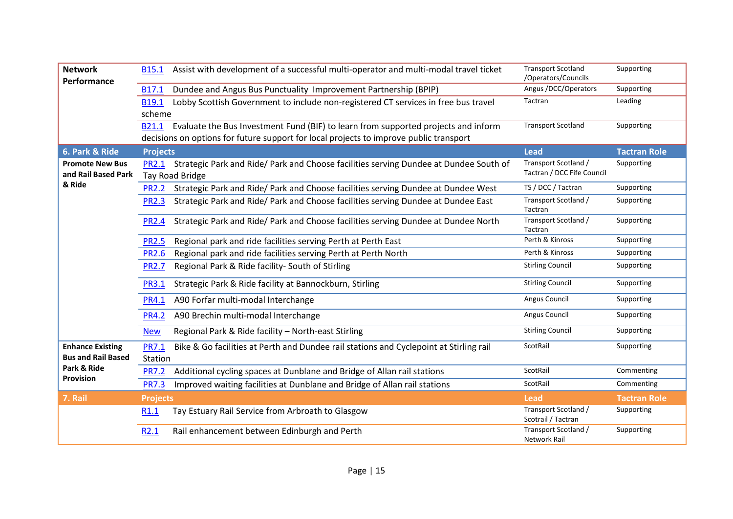| <b>Network</b><br>Performance                        | <b>B15.1</b>                                                                                                          | Assist with development of a successful multi-operator and multi-modal travel ticket | <b>Transport Scotland</b><br>/Operators/Councils   | Supporting          |
|------------------------------------------------------|-----------------------------------------------------------------------------------------------------------------------|--------------------------------------------------------------------------------------|----------------------------------------------------|---------------------|
|                                                      | Dundee and Angus Bus Punctuality Improvement Partnership (BPIP)<br>B17.1                                              |                                                                                      | Angus /DCC/Operators                               | Supporting          |
|                                                      | Lobby Scottish Government to include non-registered CT services in free bus travel<br>B19.1                           |                                                                                      | Tactran                                            | Leading             |
|                                                      | scheme                                                                                                                |                                                                                      |                                                    |                     |
|                                                      | B21.1                                                                                                                 | Evaluate the Bus Investment Fund (BIF) to learn from supported projects and inform   | <b>Transport Scotland</b>                          | Supporting          |
|                                                      | decisions on options for future support for local projects to improve public transport                                |                                                                                      |                                                    |                     |
| 6. Park & Ride                                       | <b>Projects</b>                                                                                                       |                                                                                      | <b>Lead</b>                                        | <b>Tactran Role</b> |
| <b>Promote New Bus</b><br>and Rail Based Park        | PR2.1 Strategic Park and Ride/ Park and Choose facilities serving Dundee at Dundee South of<br><b>Tay Road Bridge</b> |                                                                                      | Transport Scotland /<br>Tactran / DCC Fife Council | Supporting          |
| & Ride                                               | <b>PR2.2</b>                                                                                                          | Strategic Park and Ride/ Park and Choose facilities serving Dundee at Dundee West    | TS / DCC / Tactran                                 | Supporting          |
|                                                      | Strategic Park and Ride/ Park and Choose facilities serving Dundee at Dundee East<br><b>PR2.3</b>                     |                                                                                      | Transport Scotland /<br>Tactran                    | Supporting          |
|                                                      | <b>PR2.4</b>                                                                                                          | Strategic Park and Ride/ Park and Choose facilities serving Dundee at Dundee North   | Transport Scotland /<br>Tactran                    | Supporting          |
|                                                      | Regional park and ride facilities serving Perth at Perth East<br><b>PR2.5</b>                                         |                                                                                      | Perth & Kinross                                    | Supporting          |
|                                                      | Regional park and ride facilities serving Perth at Perth North<br><b>PR2.6</b>                                        |                                                                                      | Perth & Kinross                                    | Supporting          |
|                                                      | Regional Park & Ride facility- South of Stirling<br><b>PR2.7</b>                                                      |                                                                                      | <b>Stirling Council</b>                            | Supporting          |
|                                                      | Strategic Park & Ride facility at Bannockburn, Stirling<br><b>PR3.1</b>                                               |                                                                                      | <b>Stirling Council</b>                            | Supporting          |
|                                                      | A90 Forfar multi-modal Interchange<br><b>PR4.1</b>                                                                    |                                                                                      | Angus Council                                      | Supporting          |
|                                                      | A90 Brechin multi-modal Interchange<br><b>PR4.2</b>                                                                   |                                                                                      | Angus Council                                      | Supporting          |
|                                                      | Regional Park & Ride facility - North-east Stirling<br><b>New</b>                                                     |                                                                                      | <b>Stirling Council</b>                            | Supporting          |
| <b>Enhance Existing</b><br><b>Bus and Rail Based</b> | Bike & Go facilities at Perth and Dundee rail stations and Cyclepoint at Stirling rail<br><b>PR7.1</b>                |                                                                                      | ScotRail                                           | Supporting          |
| Park & Ride                                          | Station                                                                                                               |                                                                                      | ScotRail                                           | Commenting          |
| Provision                                            | Additional cycling spaces at Dunblane and Bridge of Allan rail stations<br><b>PR7.2</b>                               |                                                                                      |                                                    |                     |
|                                                      | Improved waiting facilities at Dunblane and Bridge of Allan rail stations<br><b>PR7.3</b>                             |                                                                                      | ScotRail                                           | Commenting          |
| 7. Rail                                              | <b>Projects</b>                                                                                                       |                                                                                      | <b>Lead</b>                                        | <b>Tactran Role</b> |
|                                                      | Tay Estuary Rail Service from Arbroath to Glasgow<br>R <sub>1.1</sub>                                                 |                                                                                      | Transport Scotland /<br>Scotrail / Tactran         | Supporting          |
|                                                      | Rail enhancement between Edinburgh and Perth<br>R <sub>2.1</sub>                                                      |                                                                                      | Transport Scotland /<br>Network Rail               | Supporting          |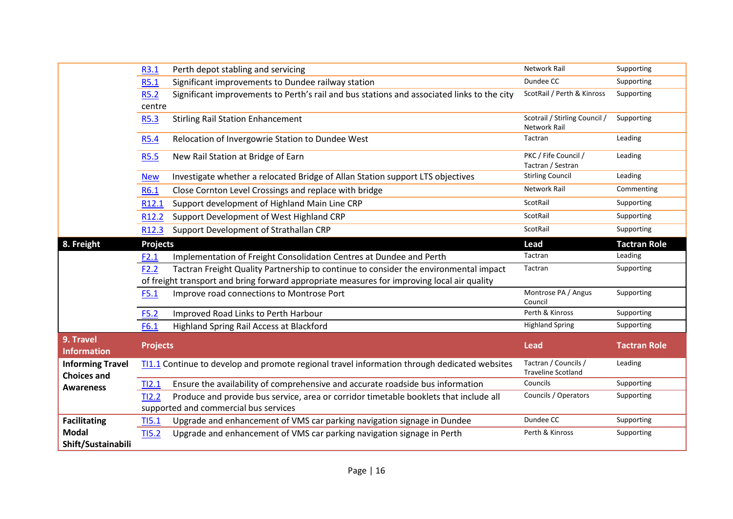|                                               | R3.1              | Perth depot stabling and servicing                                                                                             | <b>Network Rail</b>                               | Supporting          |
|-----------------------------------------------|-------------------|--------------------------------------------------------------------------------------------------------------------------------|---------------------------------------------------|---------------------|
|                                               | R5.1              | Significant improvements to Dundee railway station                                                                             | Dundee CC                                         | Supporting          |
|                                               | <b>R5.2</b>       | Significant improvements to Perth's rail and bus stations and associated links to the city                                     | ScotRail / Perth & Kinross                        | Supporting          |
|                                               | centre            |                                                                                                                                |                                                   |                     |
|                                               | R5.3              | <b>Stirling Rail Station Enhancement</b>                                                                                       | Scotrail / Stirling Council /<br>Network Rail     | Supporting          |
|                                               | <b>R5.4</b>       | Relocation of Invergowrie Station to Dundee West                                                                               | Tactran                                           | Leading             |
|                                               | <b>R5.5</b>       | New Rail Station at Bridge of Earn                                                                                             | PKC / Fife Council /<br>Tactran / Sestran         | Leading             |
|                                               | <b>New</b>        | Investigate whether a relocated Bridge of Allan Station support LTS objectives                                                 | <b>Stirling Council</b>                           | Leading             |
|                                               | R6.1              | Close Cornton Level Crossings and replace with bridge                                                                          | <b>Network Rail</b>                               | Commenting          |
|                                               | R12.1             | Support development of Highland Main Line CRP                                                                                  | ScotRail                                          | Supporting          |
|                                               | R <sub>12.2</sub> | Support Development of West Highland CRP                                                                                       | ScotRail                                          | Supporting          |
|                                               | R <sub>12.3</sub> | Support Development of Strathallan CRP                                                                                         | ScotRail                                          | Supporting          |
| 8. Freight                                    | <b>Projects</b>   |                                                                                                                                | Lead                                              | <b>Tactran Role</b> |
|                                               | F2.1              | Implementation of Freight Consolidation Centres at Dundee and Perth                                                            | Tactran                                           | Leading             |
|                                               | F2.2              | Tactran Freight Quality Partnership to continue to consider the environmental impact                                           | Tactran                                           | Supporting          |
|                                               |                   | of freight transport and bring forward appropriate measures for improving local air quality                                    |                                                   |                     |
|                                               | F5.1              | Improve road connections to Montrose Port                                                                                      | Montrose PA / Angus<br>Council                    | Supporting          |
|                                               | F5.2              | Improved Road Links to Perth Harbour                                                                                           | Perth & Kinross                                   | Supporting          |
|                                               | F6.1              | Highland Spring Rail Access at Blackford                                                                                       | <b>Highland Spring</b>                            | Supporting          |
| 9. Travel<br><b>Information</b>               | <b>Projects</b>   |                                                                                                                                | <b>Lead</b>                                       | <b>Tactran Role</b> |
| <b>Informing Travel</b><br><b>Choices and</b> |                   | TI1.1 Continue to develop and promote regional travel information through dedicated websites                                   | Tactran / Councils /<br><b>Traveline Scotland</b> | Leading             |
| <b>Awareness</b>                              | TI2.1             | Ensure the availability of comprehensive and accurate roadside bus information                                                 | Councils                                          | Supporting          |
|                                               | TI2.2             | Produce and provide bus service, area or corridor timetable booklets that include all<br>supported and commercial bus services | Councils / Operators                              | Supporting          |
| <b>Facilitating</b>                           | TI5.1             | Upgrade and enhancement of VMS car parking navigation signage in Dundee                                                        | Dundee CC                                         | Supporting          |
| <b>Modal</b>                                  | TI <sub>5.2</sub> | Upgrade and enhancement of VMS car parking navigation signage in Perth                                                         | Perth & Kinross                                   | Supporting          |
| Shift/Sustainabili                            |                   |                                                                                                                                |                                                   |                     |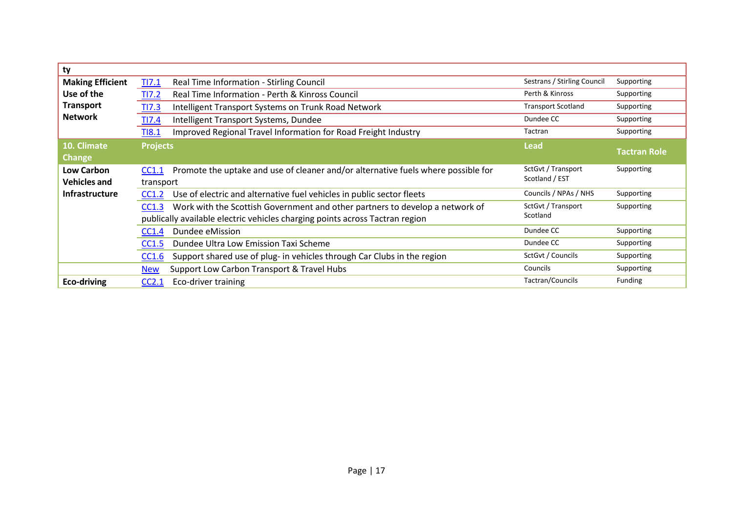| ty                      |                                                                                            |                             |                     |
|-------------------------|--------------------------------------------------------------------------------------------|-----------------------------|---------------------|
| <b>Making Efficient</b> | Real Time Information - Stirling Council<br>TI7.1                                          | Sestrans / Stirling Council | Supporting          |
| Use of the              | Real Time Information - Perth & Kinross Council<br><b>TI7.2</b>                            | Perth & Kinross             | Supporting          |
| <b>Transport</b>        | Intelligent Transport Systems on Trunk Road Network<br>TI7.3                               | <b>Transport Scotland</b>   | Supporting          |
| <b>Network</b>          | TI7.4<br>Intelligent Transport Systems, Dundee                                             | Dundee CC                   | Supporting          |
|                         | Improved Regional Travel Information for Road Freight Industry<br><b>TI8.1</b>             | Tactran                     | Supporting          |
| 10. Climate             | <b>Projects</b>                                                                            | <b>Lead</b>                 |                     |
| <b>Change</b>           |                                                                                            |                             | <b>Tactran Role</b> |
| <b>Low Carbon</b>       | Promote the uptake and use of cleaner and/or alternative fuels where possible for<br>CC1.1 | SctGvt / Transport          | Supporting          |
| <b>Vehicles and</b>     | transport                                                                                  | Scotland / EST              |                     |
| <b>Infrastructure</b>   | Use of electric and alternative fuel vehicles in public sector fleets<br>CC1.2             | Councils / NPAs / NHS       | Supporting          |
|                         | Work with the Scottish Government and other partners to develop a network of<br>CC1.3      | SctGvt / Transport          | Supporting          |
|                         | publically available electric vehicles charging points across Tactran region               | Scotland                    |                     |
|                         | Dundee eMission<br>CC1.4                                                                   | Dundee CC                   | Supporting          |
|                         | Dundee Ultra Low Emission Taxi Scheme<br>CC1.5                                             | Dundee CC                   | Supporting          |
|                         | Support shared use of plug- in vehicles through Car Clubs in the region<br>CC1.6           | SctGvt / Councils           | Supporting          |
|                         | Support Low Carbon Transport & Travel Hubs<br><b>New</b>                                   | Councils                    | Supporting          |
| Eco-driving             | Eco-driver training<br>CC2.1                                                               | Tactran/Councils            | Funding             |